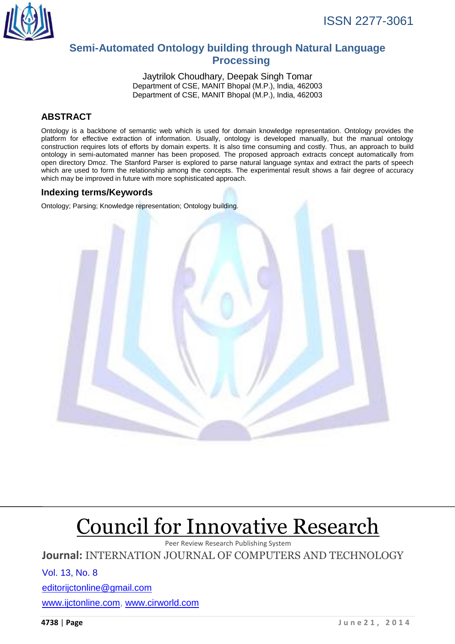

# **Semi-Automated Ontology building through Natural Language Processing**

Jaytrilok Choudhary, Deepak Singh Tomar Department of CSE, MANIT Bhopal (M.P.), India, 462003 Department of CSE, MANIT Bhopal (M.P.), India, 462003

# **ABSTRACT**

Ontology is a backbone of semantic web which is used for domain knowledge representation. Ontology provides the platform for effective extraction of information. Usually, ontology is developed manually, but the manual ontology construction requires lots of efforts by domain experts. It is also time consuming and costly. Thus, an approach to build ontology in semi-automated manner has been proposed. The proposed approach extracts concept automatically from open directory Dmoz. The Stanford Parser is explored to parse natural language syntax and extract the parts of speech which are used to form the relationship among the concepts. The experimental result shows a fair degree of accuracy which may be improved in future with more sophisticated approach.

# **Indexing terms/Keywords**

Ontology; Parsing; Knowledge representation; Ontology building.



# Council for Innovative Research

Peer Review Research Publishing System

**Journal:** INTERNATION JOURNAL OF COMPUTERS AND TECHNOLOGY

Vol. 13, No. 8

[editorijctonline@gmail.com](mailto:editorijctonline@gmail.com)

[www.ijctonline.com,](http://www.ijctonline.com/) www.cirworld.com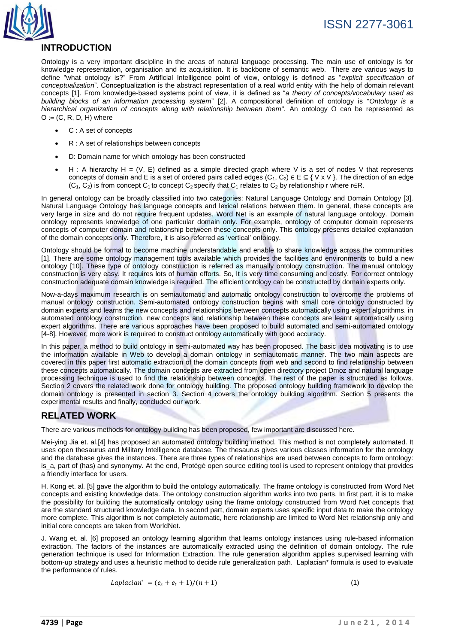

# **INTRODUCTION**

Ontology is a very important discipline in the areas of natural language processing. The main use of ontology is for knowledge representation, organisation and its acquisition. It is backbone of semantic web. There are various ways to define "what ontology is?" From Artificial Intelligence point of view, ontology is defined as "*explicit specification of conceptualization*". Conceptualization is the abstract representation of a real world entity with the help of domain relevant concepts [1]. From knowledge-based systems point of view, it is defined as "*a theory of concepts/vocabulary used as building blocks of an information processing system*" [2]. A compositional definition of ontology is "*Ontology is a hierarchical organization of concepts along with relationship between them*"*.* An ontology O can be represented as  $O := (C, R, D, H)$  where

- C : A set of concepts
- R : A set of relationships between concepts
- D: Domain name for which ontology has been constructed
- H : A hierarchy H = (V, E) defined as a simple directed graph where V is a set of nodes V that represents concepts of domain and E is a set of ordered pairs called edges  $(C_1, C_2) \in E \subseteq \{V \times V\}$ . The direction of an edge  $(C_1, C_2)$  is from concept C<sub>1</sub> to concept C<sub>2</sub> specify that C<sub>1</sub> relates to C<sub>2</sub> by relationship r where r∈R.

In general ontology can be broadly classified into two categories: Natural Language Ontology and Domain Ontology [3]. Natural Language Ontology has language concepts and lexical relations between them. In general, these concepts are very large in size and do not require frequent updates. Word Net is an example of natural language ontology. Domain ontology represents knowledge of one particular domain only. For example, ontology of computer domain represents concepts of computer domain and relationship between these concepts only. This ontology presents detailed explanation of the domain concepts only. Therefore, it is also referred as "vertical" ontology.

Ontology should be formal to become machine understandable and enable to share knowledge across the communities [1]. There are some ontology management tools available which provides the facilities and environments to build a new ontology [10]. These type of ontology construction is referred as manually ontology construction. The manual ontology construction is very easy. It requires lots of human efforts. So, It is very time consuming and costly. For correct ontology construction adequate domain knowledge is required. The efficient ontology can be constructed by domain experts only.

Now-a-days maximum research is on semiautomatic and automatic ontology construction to overcome the problems of manual ontology construction. Semi-automated ontology construction begins with small core ontology constructed by domain experts and learns the new concepts and relationships between concepts automatically using expert algorithms. in automated ontology construction, new concepts and relationship between these concepts are learnt automatically using expert algorithms. There are various approaches have been proposed to build automated and semi-automated ontology [4-8]. However, more work is required to construct ontology automatically with good accuracy.

In this paper, a method to build ontology in semi-automated way has been proposed. The basic idea motivating is to use the information available in Web to develop a domain ontology in semiautomatic manner. The two main aspects are covered in this paper first automatic extraction of the domain concepts from web and second to find relationship between these concepts automatically. The domain concepts are extracted from open directory project Dmoz and natural language processing technique is used to find the relationship between concepts. The rest of the paper is structured as follows. Section 2 covers the related work done for ontology building. The proposed ontology building framework to develop the domain ontology is presented in section 3. Section 4 covers the ontology building algorithm. Section 5 presents the experimental results and finally, concluded our work.

## **RELATED WORK**

There are various methods for ontology building has been proposed, few important are discussed here.

Mei-ying Jia et. al.[4] has proposed an automated ontology building method. This method is not completely automated. It uses open thesaurus and Military Intelligence database. The thesaurus gives various classes information for the ontology and the database gives the instances. There are three types of relationships are used between concepts to form ontology: is\_a, part of (has) and synonymy. At the end, Protégé open source editing tool is used to represent ontology that provides a friendly interface for users.

H. Kong et. al. [5] gave the algorithm to build the ontology automatically. The frame ontology is constructed from Word Net concepts and existing knowledge data. The ontology construction algorithm works into two parts. In first part, it is to make the possibility for building the automatically ontology using the frame ontology constructed from Word Net concepts that are the standard structured knowledge data. In second part, domain experts uses specific input data to make the ontology more complete. This algorithm is not completely automatic, here relationship are limited to Word Net relationship only and initial core concepts are taken from WorldNet.

J. Wang et. al. [6] proposed an ontology learning algorithm that learns ontology instances using rule-based information extraction. The factors of the instances are automatically extracted using the definition of domain ontology. The rule generation technique is used for Information Extraction. The rule generation algorithm applies supervised learning with bottom-up strategy and uses a heuristic method to decide rule generalization path. Laplacian\* formula is used to evaluate the performance of rules.

$$
Laplacian^* = (e_s + e_t + 1)/(n+1)
$$
\n<sup>(1)</sup>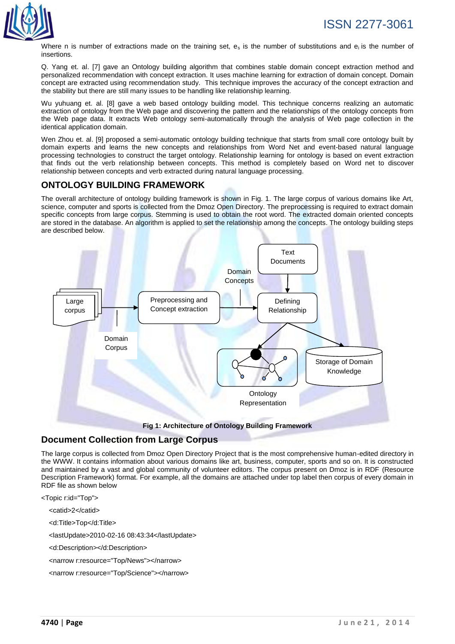

Where n is number of extractions made on the training set,  $e_s$  is the number of substitutions and  $e_i$  is the number of insertions.

Q. Yang et. al. [7] gave an Ontology building algorithm that combines stable domain concept extraction method and personalized recommendation with concept extraction. It uses machine learning for extraction of domain concept. Domain concept are extracted using recommendation study. This technique improves the accuracy of the concept extraction and the stability but there are still many issues to be handling like relationship learning.

Wu yuhuang et. al. [8] gave a web based ontology building model. This technique concerns realizing an automatic extraction of ontology from the Web page and discovering the pattern and the relationships of the ontology concepts from the Web page data. It extracts Web ontology semi-automatically through the analysis of Web page collection in the identical application domain.

Wen Zhou et. al. [9] proposed a semi-automatic ontology building technique that starts from small core ontology built by domain experts and learns the new concepts and relationships from Word Net and event-based natural language processing technologies to construct the target ontology. Relationship learning for ontology is based on event extraction that finds out the verb relationship between concepts. This method is completely based on Word net to discover relationship between concepts and verb extracted during natural language processing.

# **ONTOLOGY BUILDING FRAMEWORK**

The overall architecture of ontology building framework is shown in Fig. 1. The large corpus of various domains like Art, science, computer and sports is collected from the Dmoz Open Directory. The preprocessing is required to extract domain specific concepts from large corpus. Stemming is used to obtain the root word. The extracted domain oriented concepts are stored in the database. An algorithm is applied to set the relationship among the concepts. The ontology building steps are described below.



**Fig 1: Architecture of Ontology Building Framework**

# **Document Collection from Large Corpus**

The large corpus is collected from Dmoz Open Directory Project that is the most comprehensive human-edited directory in the WWW. It contains information about various domains like art, business, computer, sports and so on. It is constructed and maintained by a vast and global community of volunteer editors. The corpus present on Dmoz is in RDF (Resource Description Framework) format. For example, all the domains are attached under top label then corpus of every domain in RDF file as shown below

<Topic r:id="Top">

<catid>2</catid>

<d:Title>Top</d:Title>

<lastUpdate>2010-02-16 08:43:34</lastUpdate>

<d:Description></d:Description>

<narrow r:resource="Top/News"></narrow>

<narrow r:resource="Top/Science"></narrow>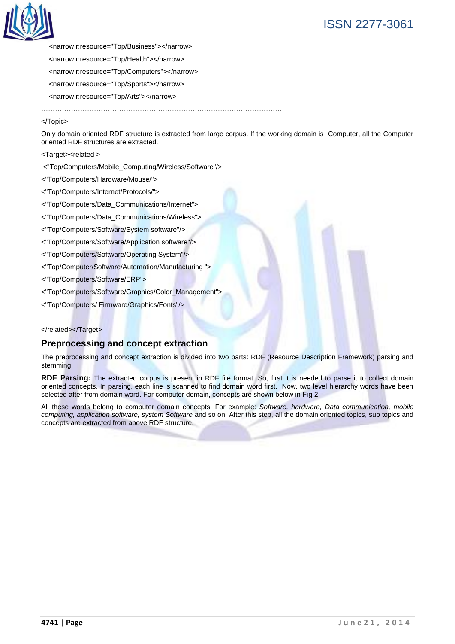

 <narrow r:resource="Top/Business"></narrow> <narrow r:resource="Top/Health"></narrow> <narrow r:resource="Top/Computers"></narrow> <narrow r:resource="Top/Sports"></narrow> <narrow r:resource="Top/Arts"></narrow>

……………………………………………………………………………………………

#### </Topic>

Only domain oriented RDF structure is extracted from large corpus. If the working domain is Computer, all the Computer oriented RDF structures are extracted.

<Target><related >

<"Top/Computers/Mobile\_Computing/Wireless/Software"/>

<"Top/Computers/Hardware/Mouse/">

<"Top/Computers/Internet/Protocols/">

<"Top/Computers/Data\_Communications/Internet">

<"Top/Computers/Data\_Communications/Wireless">

<"Top/Computers/Software/System software"/>

<"Top/Computers/Software/Application software"/>

<"Top/Computers/Software/Operating System"/>

<"Top/Computer/Software/Automation/Manufacturing ">

<"Top/Computers/Software/ERP">

<"Top/Computers/Software/Graphics/Color\_Management">

……………………………………………………………………………………………

<"Top/Computers/ Firmware/Graphics/Fonts"/>

</related></Target>

#### **Preprocessing and concept extraction**

The preprocessing and concept extraction is divided into two parts: RDF (Resource Description Framework) parsing and stemming.

**RDF Parsing:** The extracted corpus is present in RDF file format. So, first it is needed to parse it to collect domain oriented concepts. In parsing, each line is scanned to find domain word first. Now, two level hierarchy words have been selected after from domain word. For computer domain, concepts are shown below in Fig 2.

All these words belong to computer domain concepts. For example: *Software, hardware, Data communication, mobile computing, application software, system Software* and so on. After this step, all the domain oriented topics, sub topics and concepts are extracted from above RDF structure.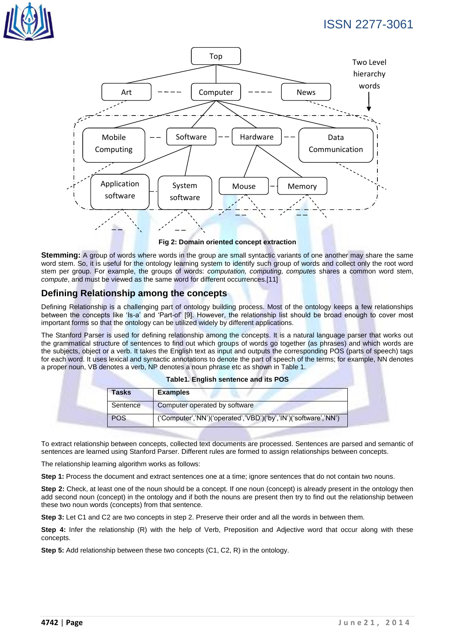# ISSN 2277-3061





**Fig 2: Domain oriented concept extraction**

**Stemming:** A group of words where words in the group are small syntactic variants of one another may share the same word stem. So, it is useful for the ontology learning system to identify such group of words and collect only the root word stem per group. For example, the groups of words: *computation, computing, computes* shares a common word stem, *compute*, and must be viewed as the same word for different occurrences.[11]

# **Defining Relationship among the concepts**

Defining Relationship is a challenging part of ontology building process. Most of the ontology keeps a few relationships between the concepts like "Is-a" and "Part-of" [9]. However, the relationship list should be broad enough to cover most important forms so that the ontology can be utilized widely by different applications.

The Stanford Parser is used for defining relationship among the concepts. It is a natural language parser that works out the grammatical structure of sentences to find out which groups of words go together (as phrases) and which words are the subjects, object or a verb. It takes the English text as input and outputs the corresponding POS (parts of speech) tags for each word. It uses lexical and syntactic annotations to denote the part of speech of the terms; for example, NN denotes a proper noun, VB denotes a verb, NP denotes a noun phrase etc as shown in Table 1.

| Tasks      | <b>Examples</b>                                                 |
|------------|-----------------------------------------------------------------|
| Sentence   | Computer operated by software                                   |
| <b>POS</b> | ('Computer','NN')('operated','VBD')('by','IN')('software','NN') |

#### **Table1. English sentence and its POS**

To extract relationship between concepts, collected text documents are processed. Sentences are parsed and semantic of sentences are learned using Stanford Parser. Different rules are formed to assign relationships between concepts.

The relationship learning algorithm works as follows:

**Step 1:** Process the document and extract sentences one at a time; ignore sentences that do not contain two nouns.

**Step 2:** Check, at least one of the noun should be a concept. If one noun (concept) is already present in the ontology then add second noun (concept) in the ontology and if both the nouns are present then try to find out the relationship between these two noun words (concepts) from that sentence.

**Step 3:** Let C1 and C2 are two concepts in step 2. Preserve their order and all the words in between them.

**Step 4:** Infer the relationship (R) with the help of Verb, Preposition and Adjective word that occur along with these concepts.

**Step 5:** Add relationship between these two concepts (C1, C2, R) in the ontology.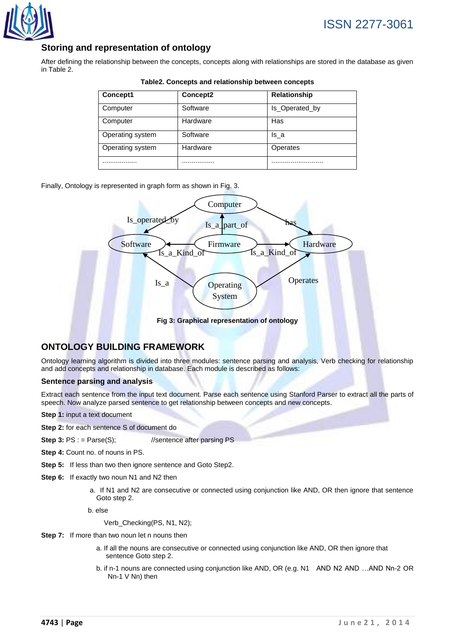

# ISSN 2277-3061

# **Storing and representation of ontology**

After defining the relationship between the concepts, concepts along with relationships are stored in the database as given in Table 2.

| Concept1         | Concept2 | <b>Relationship</b> |
|------------------|----------|---------------------|
| Computer         | Software | Is Operated by      |
| Computer         | Hardware | Has                 |
| Operating system | Software | ls a                |
| Operating system | Hardware | Operates            |
|                  |          |                     |

#### **Table2. Concepts and relationship between concepts**

Finally, Ontology is represented in graph form as shown in Fig. 3.



**Fig 3: Graphical representation of ontology**

# **ONTOLOGY BUILDING FRAMEWORK**

Ontology learning algorithm is divided into three modules: sentence parsing and analysis, Verb checking for relationship and add concepts and relationship in database. Each module is described as follows:

#### **Sentence parsing and analysis**

Extract each sentence from the input text document. Parse each sentence using Stanford Parser to extract all the parts of speech. Now analyze parsed sentence to get relationship between concepts and new concepts.

- **Step 1:** input a text document
- **Step 2:** for each sentence S of document do
- **Step 3:** PS : = Parse(S); //sentence after parsing PS
- **Step 4:** Count no. of nouns in PS.
- **Step 5:** If less than two then ignore sentence and Goto Step2.
- **Step 6:** If exactly two noun N1 and N2 then
	- a. If N1 and N2 are consecutive or connected using conjunction like AND, OR then ignore that sentence Goto step 2.
	- b. else

Verb\_Checking(PS, N1, N2);

- **Step 7:** If more than two noun let n nouns then
	- a. If all the nouns are consecutive or connected using conjunction like AND, OR then ignore that sentence Goto step 2.
	- b. if n-1 nouns are connected using conjunction like AND, OR (e.g. N1 AND N2 AND ...AND Nn-2 OR Nn-1 V Nn) then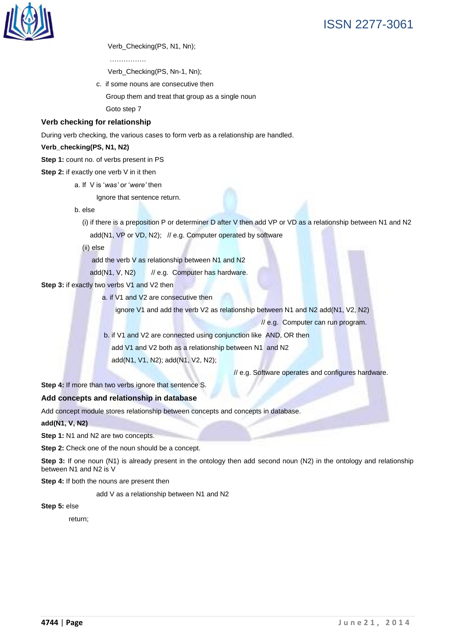

Verb\_Checking(PS, N1, Nn);

………………

Verb\_Checking(PS, Nn-1, Nn);

c. if some nouns are consecutive then

Group them and treat that group as a single noun

Goto step 7

#### **Verb checking for relationship**

During verb checking, the various cases to form verb as a relationship are handled.

#### **Verb\_checking(PS, N1, N2)**

**Step 1:** count no. of verbs present in PS

#### **Step 2:** if exactly one verb V in it then

a. If V is "*was'* or "*were'* then

Ignore that sentence return.

b. else

 (i) if there is a preposition P or determiner D after V then add VP or VD as a relationship between N1 and N2 add(N1, VP or VD, N2); // e.g. Computer operated by software

(ii) else

add the verb V as relationship between N1 and N2

add(N1, V, N2) // e.g. Computer has hardware.

**Step 3:** if exactly two verbs V1 and V2 then

a. if V1 and V2 are consecutive then

ignore V1 and add the verb V2 as relationship between N1 and N2 add(N1, V2, N2)

// e.g. Computer can run program.

b. if V1 and V2 are connected using conjunction like AND, OR then

add V1 and V2 both as a relationship between N1 and N2

add(N1, V1, N2); add(N1, V2, N2);

// e.g. Software operates and configures hardware.

**Step 4:** If more than two verbs ignore that sentence S.

#### **Add concepts and relationship in database**

Add concept module stores relationship between concepts and concepts in database.

#### **add(N1, V, N2)**

**Step 1: N1 and N2 are two concepts.** 

**Step 2:** Check one of the noun should be a concept.

**Step 3:** If one noun (N1) is already present in the ontology then add second noun (N2) in the ontology and relationship between N1 and N2 is V

**Step 4:** If both the nouns are present then

add V as a relationship between N1 and N2

**Step 5:** else

return;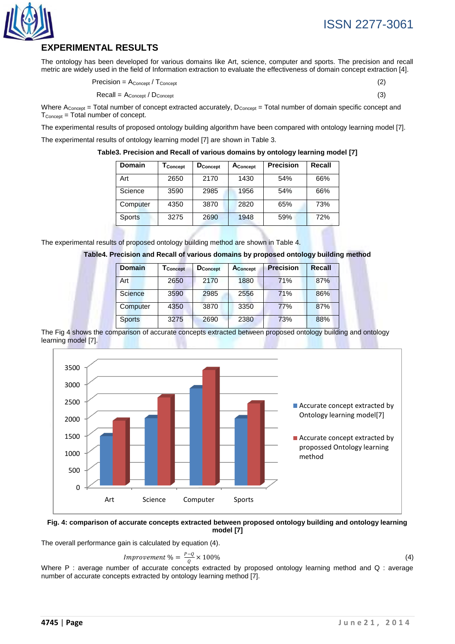

# **EXPERIMENTAL RESULTS**

The ontology has been developed for various domains like Art, science, computer and sports. The precision and recall metric are widely used in the field of Information extraction to evaluate the effectiveness of domain concept extraction [4].

$$
Precision = A_{Concept} / T_{Concept} \tag{2}
$$

 $\text{Recall} = A_{\text{Concept}} / D_{\text{Concept}}$  (3)

Where  $A_{\text{Concept}}$  = Total number of concept extracted accurately,  $D_{\text{Concept}}$  = Total number of domain specific concept and  $T_{\text{Concept}} = \text{Total number of concept.}$ 

The experimental results of proposed ontology building algorithm have been compared with ontology learning model [7].

The experimental results of ontology learning model [7] are shown in Table 3.

**Table3. Precision and Recall of various domains by ontology learning model [7]**

| Domain        | I Concept | <b>D</b> Concept | Aconcept | <b>Precision</b> | Recall |
|---------------|-----------|------------------|----------|------------------|--------|
| Art           | 2650      | 2170             | 1430     | 54%              | 66%    |
| Science       | 3590      | 2985             | 1956     | 54%              | 66%    |
| Computer      | 4350      | 3870             | 2820     | 65%              | 73%    |
| <b>Sports</b> | 3275      | 2690             | 1948     | 59%              | 72%    |

The experimental results of proposed ontology building method are shown in Table 4.

|  | Table4. Precision and Recall of various domains by proposed ontology building method |  |  |  |
|--|--------------------------------------------------------------------------------------|--|--|--|
|  |                                                                                      |  |  |  |
|  |                                                                                      |  |  |  |

| <b>Domain</b> | I Concept | <b>D</b> Concept | <b>A</b> Concept | <b>Precision</b> | Recall |
|---------------|-----------|------------------|------------------|------------------|--------|
| Art           | 2650      | 2170             | 1880             | 71%              | 87%    |
| Science       | 3590      | 2985             | 2556             | 71%              | 86%    |
| Computer      | 4350      | 3870             | 3350             | <b>77%</b>       | 87%    |
| <b>Sports</b> | 3275      | 2690             | 2380             | 73%              | 88%    |

The Fig 4 shows the comparison of accurate concepts extracted between proposed ontology building and ontology learning model [7].



#### **Fig. 4: comparison of accurate concepts extracted between proposed ontology building and ontology learning model [7]**

The overall performance gain is calculated by equation (4).

$$
Improvement \% = \frac{P - Q}{Q} \times 100\% \tag{4}
$$

Where P : average number of accurate concepts extracted by proposed ontology learning method and Q : average number of accurate concepts extracted by ontology learning method [7].